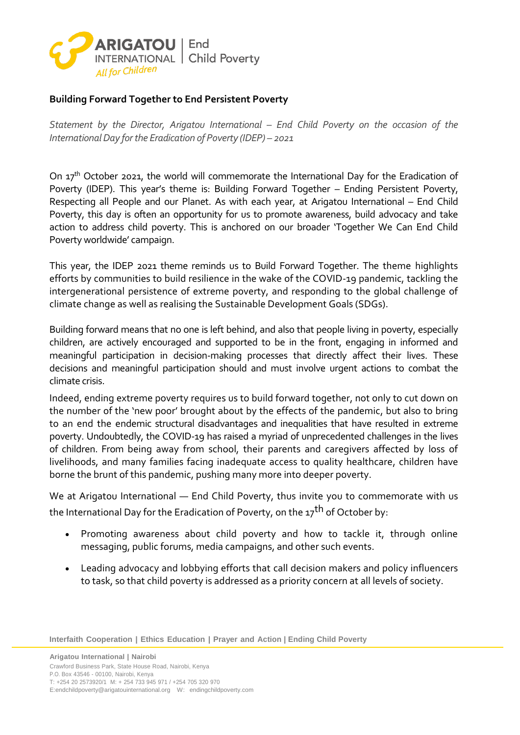

## **Building Forward Together to End Persistent Poverty**

*Statement by the Director, Arigatou International – End Child Poverty on the occasion of the International Day for the Eradication of Poverty (IDEP) – 2021* 

On 17<sup>th</sup> October 2021, the world will commemorate the International Day for the Eradication of Poverty (IDEP). This year's theme is: Building Forward Together – Ending Persistent Poverty, Respecting all People and our Planet. As with each year, at Arigatou International – End Child Poverty, this day is often an opportunity for us to promote awareness, build advocacy and take action to address child poverty. This is anchored on our broader 'Together We Can End Child Poverty worldwide' campaign.

This year, the IDEP 2021 theme reminds us to Build Forward Together. The theme highlights efforts by communities to build resilience in the wake of the COVID-19 pandemic, tackling the intergenerational persistence of extreme poverty, and responding to the global challenge of climate change as well as realising the Sustainable Development Goals (SDGs).

Building forward means that no one is left behind, and also that people living in poverty, especially children, are actively encouraged and supported to be in the front, engaging in informed and meaningful participation in decision-making processes that directly affect their lives. These decisions and meaningful participation should and must involve urgent actions to combat the climate crisis.

Indeed, ending extreme poverty requires us to build forward together, not only to cut down on the number of the 'new poor' brought about by the effects of the pandemic, but also to bring to an end the endemic structural disadvantages and inequalities that have resulted in extreme poverty. Undoubtedly, the COVID-19 has raised a myriad of unprecedented challenges in the lives of children. From being away from school, their parents and caregivers affected by loss of livelihoods, and many families facing inadequate access to quality healthcare, children have borne the brunt of this pandemic, pushing many more into deeper poverty.

We at Arigatou International — End Child Poverty, thus invite you to commemorate with us the International Day for the Eradication of Poverty, on the  $17<sup>th</sup>$  of October by:

- Promoting awareness about child poverty and how to tackle it, through online messaging, public forums, media campaigns, and other such events.
- Leading advocacy and lobbying efforts that call decision makers and policy influencers to task, so that child poverty is addressed as a priority concern at all levels of society.

**Interfaith Cooperation | Ethics Education | Prayer and Action | Ending Child Poverty**